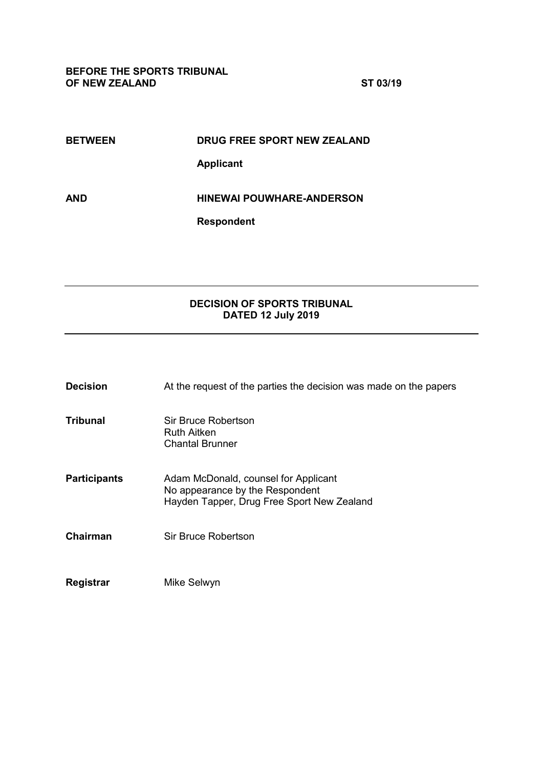| <b>BETWEEN</b> | DRUG FREE SPORT NEW ZEALAND      |
|----------------|----------------------------------|
|                | <b>Applicant</b>                 |
| AND            | <b>HINEWAI POUWHARE-ANDERSON</b> |
|                | <b>Respondent</b>                |

# **DECISION OF SPORTS TRIBUNAL DATED 12 July 2019**

| <b>Decision</b>     | At the request of the parties the decision was made on the papers                                                     |
|---------------------|-----------------------------------------------------------------------------------------------------------------------|
| <b>Tribunal</b>     | Sir Bruce Robertson<br><b>Ruth Aitken</b><br><b>Chantal Brunner</b>                                                   |
| <b>Participants</b> | Adam McDonald, counsel for Applicant<br>No appearance by the Respondent<br>Hayden Tapper, Drug Free Sport New Zealand |
| Chairman            | Sir Bruce Robertson                                                                                                   |
| Registrar           | Mike Selwyn                                                                                                           |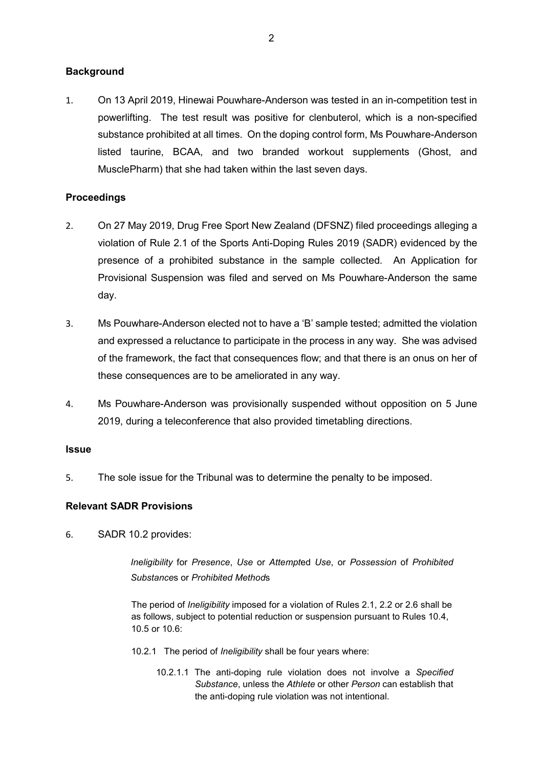### **Background**

1. On 13 April 2019, Hinewai Pouwhare-Anderson was tested in an in-competition test in powerlifting. The test result was positive for clenbuterol, which is a non-specified substance prohibited at all times. On the doping control form, Ms Pouwhare-Anderson listed taurine, BCAA, and two branded workout supplements (Ghost, and MusclePharm) that she had taken within the last seven days.

## **Proceedings**

- 2. On 27 May 2019, Drug Free Sport New Zealand (DFSNZ) filed proceedings alleging a violation of Rule 2.1 of the Sports Anti-Doping Rules 2019 (SADR) evidenced by the presence of a prohibited substance in the sample collected. An Application for Provisional Suspension was filed and served on Ms Pouwhare-Anderson the same day.
- 3. Ms Pouwhare-Anderson elected not to have a 'B' sample tested; admitted the violation and expressed a reluctance to participate in the process in any way. She was advised of the framework, the fact that consequences flow; and that there is an onus on her of these consequences are to be ameliorated in any way.
- 4. Ms Pouwhare-Anderson was provisionally suspended without opposition on 5 June 2019, during a teleconference that also provided timetabling directions.

### **Issue**

5. The sole issue for the Tribunal was to determine the penalty to be imposed.

### **Relevant SADR Provisions**

6. SADR 10.2 provides:

*Ineligibility* for *Presence*, *Use* or *Attempt*ed *Use*, or *Possession* of *Prohibited Substance*s or *Prohibited Method*s

The period of *Ineligibility* imposed for a violation of Rules 2.1, 2.2 or 2.6 shall be as follows, subject to potential reduction or suspension pursuant to Rules 10.4, 10.5 or 10.6:

- 10.2.1 The period of *Ineligibility* shall be four years where:
	- 10.2.1.1 The anti-doping rule violation does not involve a *Specified Substance*, unless the *Athlete* or other *Person* can establish that the anti-doping rule violation was not intentional.